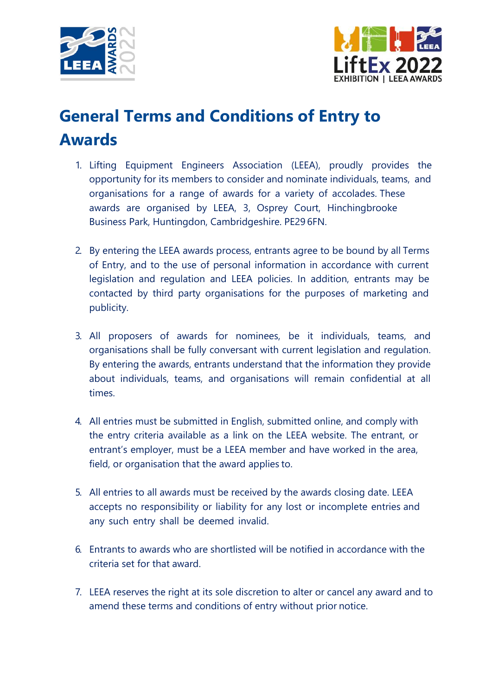



## **General Terms and Conditions of Entry to Awards**

- 1. Lifting Equipment Engineers Association (LEEA), proudly provides the opportunity for its members to consider and nominate individuals, teams, and organisations for a range of awards for a variety of accolades. These awards are organised by LEEA, 3, Osprey Court, Hinchingbrooke Business Park, Huntingdon, Cambridgeshire. PE29 6FN.
- 2. By entering the LEEA awards process, entrants agree to be bound by all Terms of Entry, and to the use of personal information in accordance with current legislation and regulation and LEEA policies. In addition, entrants may be contacted by third party organisations for the purposes of marketing and publicity.
- 3. All proposers of awards for nominees, be it individuals, teams, and organisations shall be fully conversant with current legislation and regulation. By entering the awards, entrants understand that the information they provide about individuals, teams, and organisations will remain confidential at all times.
- 4. All entries must be submitted in English, submitted online, and comply with the entry criteria available as a link on the LEEA website. The entrant, or entrant's employer, must be a LEEA member and have worked in the area, field, or organisation that the award applies to.
- 5. All entries to all awards must be received by the awards closing date. LEEA accepts no responsibility or liability for any lost or incomplete entries and any such entry shall be deemed invalid.
- 6. Entrants to awards who are shortlisted will be notified in accordance with the criteria set for that award.
- 7. LEEA reserves the right at its sole discretion to alter or cancel any award and to amend these terms and conditions of entry without prior notice.